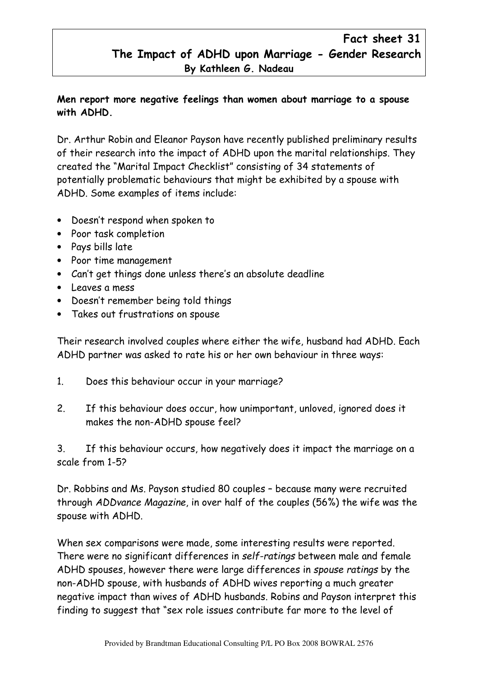## Fact sheet 31 The Impact of ADHD upon Marriage - Gender Research By Kathleen G. Nadeau

## Men report more negative feelings than women about marriage to a spouse with ADHD.

Dr. Arthur Robin and Eleanor Payson have recently published preliminary results of their research into the impact of ADHD upon the marital relationships. They created the "Marital Impact Checklist" consisting of 34 statements of potentially problematic behaviours that might be exhibited by a spouse with ADHD. Some examples of items include:

- Doesn't respond when spoken to
- Poor task completion
- Pays bills late
- Poor time management
- Can't get things done unless there's an absolute deadline
- Leaves a mess
- Doesn't remember being told things
- Takes out frustrations on spouse

Their research involved couples where either the wife, husband had ADHD. Each ADHD partner was asked to rate his or her own behaviour in three ways:

- 1. Does this behaviour occur in your marriage?
- 2. If this behaviour does occur, how unimportant, unloved, ignored does it makes the non-ADHD spouse feel?

3. If this behaviour occurs, how negatively does it impact the marriage on a scale from 1-5?

Dr. Robbins and Ms. Payson studied 80 couples – because many were recruited through ADDvance Magazine, in over half of the couples (56%) the wife was the spouse with ADHD.

When sex comparisons were made, some interesting results were reported. There were no significant differences in self-ratings between male and female ADHD spouses, however there were large differences in spouse ratings by the non-ADHD spouse, with husbands of ADHD wives reporting a much greater negative impact than wives of ADHD husbands. Robins and Payson interpret this finding to suggest that "sex role issues contribute far more to the level of